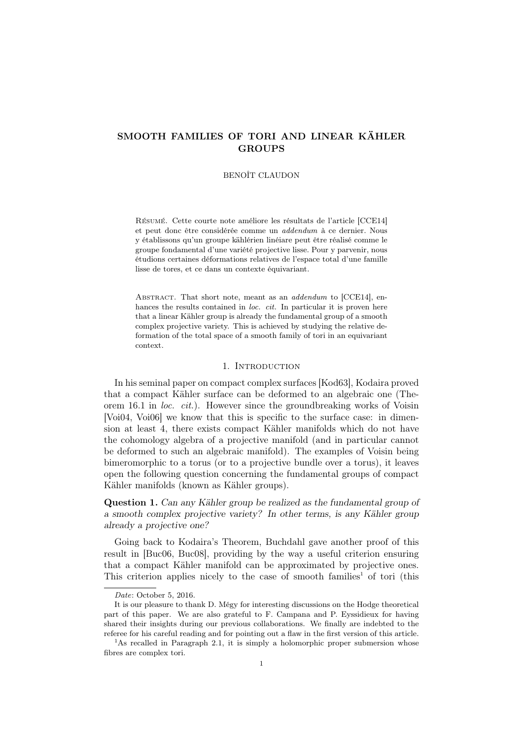# SMOOTH FAMILIES OF TORI AND LINEAR KÄHLER **GROUPS**

### BENOÎT CLAUDON

Résumé. Cette courte note améliore les résultats de l'article [CCE14] et peut donc être considérée comme un *addendum* à ce dernier. Nous y établissons qu'un groupe kählérien linéiare peut être réalisé comme le groupe fondamental d'une variété projective lisse. Pour y parvenir, nous étudions certaines déformations relatives de l'espace total d'une famille lisse de tores, et ce dans un contexte équivariant.

ABSTRACT. That short note, meant as an *addendum* to [CCE14], enhances the results contained in *loc. cit.* In particular it is proven here that a linear Kähler group is already the fundamental group of a smooth complex projective variety. This is achieved by studying the relative deformation of the total space of a smooth family of tori in an equivariant context.

#### 1. INTRODUCTION

In his seminal paper on compact complex surfaces [Kod63], Kodaira proved that a compact Kähler surface can be deformed to an algebraic one (Theorem 16.1 in *loc. cit.*). However since the groundbreaking works of Voisin [Voi04, Voi06] we know that this is specific to the surface case: in dimension at least 4, there exists compact Kähler manifolds which do not have the cohomology algebra of a projective manifold (and in particular cannot be deformed to such an algebraic manifold). The examples of Voisin being bimeromorphic to a torus (or to a projective bundle over a torus), it leaves open the following question concerning the fundamental groups of compact Kähler manifolds (known as Kähler groups).

Question 1. *Can any Kähler group be realized as the fundamental group of a smooth complex projective variety? In other terms, is any Kähler group already a projective one?*

Going back to Kodaira's Theorem, Buchdahl gave another proof of this result in [Buc06, Buc08], providing by the way a useful criterion ensuring that a compact Kähler manifold can be approximated by projective ones. This criterion applies nicely to the case of smooth families<sup>1</sup> of tori (this

*Date*: October 5, 2016.

It is our pleasure to thank D. Mégy for interesting discussions on the Hodge theoretical part of this paper. We are also grateful to F. Campana and P. Eyssidieux for having shared their insights during our previous collaborations. We finally are indebted to the referee for his careful reading and for pointing out a flaw in the first version of this article.

<sup>&</sup>lt;sup>1</sup>As recalled in Paragraph 2.1, it is simply a holomorphic proper submersion whose fibres are complex tori.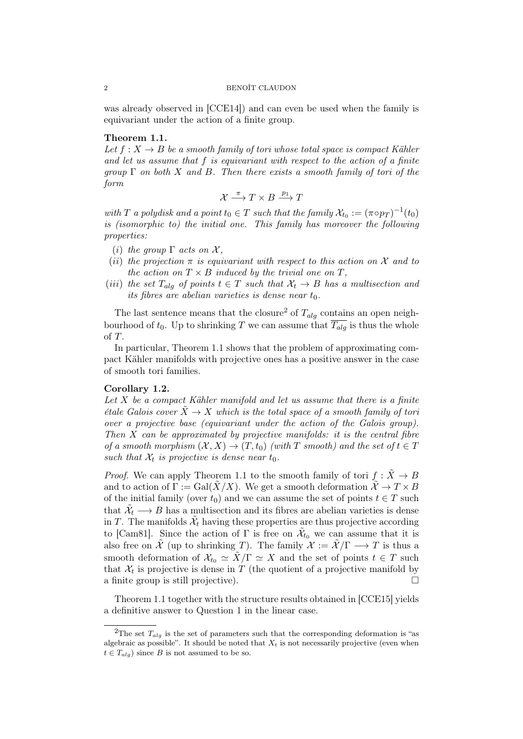was already observed in [CCE14]) and can even be used when the family is equivariant under the action of a finite group.

## Theorem 1.1.

Let  $f: X \to B$  be a smooth family of tori whose total space is compact Kähler *and let us assume that f is equivariant with respect to the action of a finite group* Γ *on both X and B. Then there exists a smooth family of tori of the form*

$$
\mathcal{X} \xrightarrow{\pi} T \times B \xrightarrow{p_1} T
$$

*with T a polydisk and a point*  $t_0 \in T$  *such that the family*  $\mathcal{X}_{t_0} := (\pi \circ p_T)^{-1}(t_0)$ *is (isomorphic to) the initial one. This family has moreover the following properties:*

- (*i*) *the group*  $\Gamma$  *acts on*  $\mathcal{X}$ *,*
- (*ii*) the projection  $\pi$  is equivariant with respect to this action on  $\mathcal X$  and to *the action on*  $T \times B$  *induced by the trivial one on*  $T$ *,*
- (*iii*) the set  $T_{ala}$  of points  $t \in T$  such that  $\mathcal{X}_t \to B$  has a multisection and *its fibres are abelian varieties is dense near*  $t_0$ .

The last sentence means that the closure<sup>2</sup> of  $T_{alg}$  contains an open neighbourhood of  $t_0$ . Up to shrinking *T* we can assume that  $\overline{T_{alg}}$  is thus the whole of *T*.

In particular, Theorem 1.1 shows that the problem of approximating compact Kähler manifolds with projective ones has a positive answer in the case of smooth tori families.

## Corollary 1.2.

*Let X be a compact Kähler manifold and let us assume that there is a finite étale Galois cover*  $\tilde{X} \to X$  *which is the total space of a smooth family of tori over a projective base (equivariant under the action of the Galois group). Then X can be approximated by projective manifolds: it is the central fibre of a smooth morphism*  $(X, X) \to (T, t_0)$  *(with*  $T$  *smooth) and the set of*  $t \in T$ *such that*  $\mathcal{X}_t$  *is projective is dense near*  $t_0$ *.* 

*Proof.* We can apply Theorem 1.1 to the smooth family of tori  $f : \tilde{X} \to B$ and to action of  $\Gamma := \text{Gal}(\tilde{X}/X)$ . We get a smooth deformation  $\tilde{\mathcal{X}} \to T \times B$ of the initial family (over  $t_0$ ) and we can assume the set of points  $t \in T$  such that  $\tilde{\mathcal{X}}_t \longrightarrow B$  has a multisection and its fibres are abelian varieties is dense in *T*. The manifolds  $\tilde{\mathcal{X}}_t$  having these properties are thus projective according to [Cam81]. Since the action of  $\Gamma$  is free on  $\tilde{\mathcal{X}}_{t_0}$  we can assume that it is also free on  $\tilde{\mathcal{X}}$  (up to shrinking *T*). The family  $\mathcal{X} := \tilde{\mathcal{X}}/\Gamma \longrightarrow T$  is thus a smooth deformation of  $\mathcal{X}_{t_0} \simeq \tilde{X}/\Gamma \simeq X$  and the set of points  $t \in T$  such that  $\mathcal{X}_t$  is projective is dense in  $T$  (the quotient of a projective manifold by a finite group is still projective).  $\Box$ 

Theorem 1.1 together with the structure results obtained in [CCE15] yields a definitive answer to Question 1 in the linear case.

<sup>&</sup>lt;sup>2</sup>The set  $T_{alg}$  is the set of parameters such that the corresponding deformation is "as algebraic as possible". It should be noted that  $X_t$  is not necessarily projective (even when  $t \in T_{alg}$  since *B* is not assumed to be so.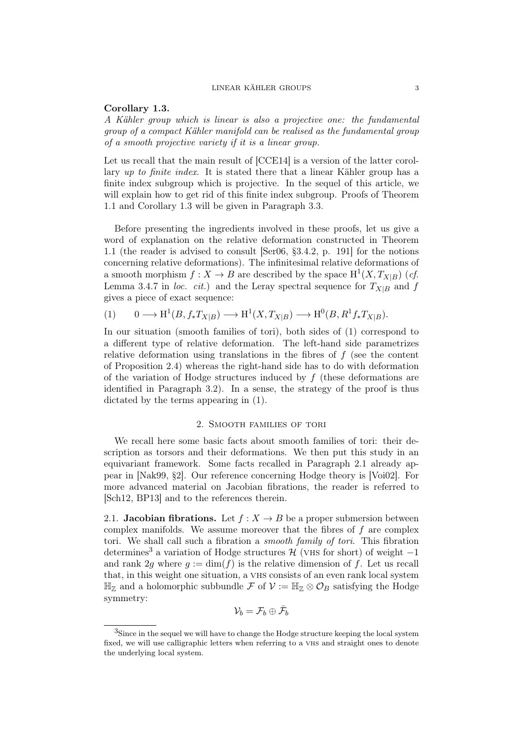## Corollary 1.3.

*A Kähler group which is linear is also a projective one: the fundamental group of a compact Kähler manifold can be realised as the fundamental group of a smooth projective variety if it is a linear group.*

Let us recall that the main result of [CCE14] is a version of the latter corollary *up to finite index*. It is stated there that a linear Kähler group has a finite index subgroup which is projective. In the sequel of this article, we will explain how to get rid of this finite index subgroup. Proofs of Theorem 1.1 and Corollary 1.3 will be given in Paragraph 3.3.

Before presenting the ingredients involved in these proofs, let us give a word of explanation on the relative deformation constructed in Theorem 1.1 (the reader is advised to consult [Ser06, §3.4.2, p. 191] for the notions concerning relative deformations). The infinitesimal relative deformations of a smooth morphism  $f: X \to B$  are described by the space  $H^1(X, T_{X|B})$  (*cf.* Lemma 3.4.7 in *loc. cit.*) and the Leray spectral sequence for  $T_{X|B}$  and *f* gives a piece of exact sequence:

$$
(1) \qquad 0 \longrightarrow \mathrm{H}^{1}(B, f_{*}T_{X|B}) \longrightarrow \mathrm{H}^{1}(X, T_{X|B}) \longrightarrow \mathrm{H}^{0}(B, R^{1}f_{*}T_{X|B}).
$$

In our situation (smooth families of tori), both sides of (1) correspond to a different type of relative deformation. The left-hand side parametrizes relative deformation using translations in the fibres of  $f$  (see the content of Proposition 2.4) whereas the right-hand side has to do with deformation of the variation of Hodge structures induced by *f* (these deformations are identified in Paragraph 3.2). In a sense, the strategy of the proof is thus dictated by the terms appearing in (1).

## 2. Smooth families of tori

We recall here some basic facts about smooth families of tori: their description as torsors and their deformations. We then put this study in an equivariant framework. Some facts recalled in Paragraph 2.1 already appear in [Nak99, §2]. Our reference concerning Hodge theory is [Voi02]. For more advanced material on Jacobian fibrations, the reader is referred to [Sch12, BP13] and to the references therein.

2.1. **Jacobian fibrations.** Let  $f: X \to B$  be a proper submersion between complex manifolds. We assume moreover that the fibres of *f* are complex tori. We shall call such a fibration a *smooth family of tori*. This fibration determines<sup>3</sup> a variation of Hodge structures  $H$  (∨HS for short) of weight  $-1$ and rank 2*g* where  $q := \dim(f)$  is the relative dimension of f. Let us recall that, in this weight one situation, a vhs consists of an even rank local system  $\mathbb{H}_{\mathbb{Z}}$  and a holomorphic subbundle *F* of  $\mathcal{V} := \mathbb{H}_{\mathbb{Z}} \otimes \mathcal{O}_B$  satisfying the Hodge symmetry:

$$
\mathcal{V}_b = \mathcal{F}_b \oplus \bar{\mathcal{F}}_b
$$

<sup>&</sup>lt;sup>3</sup>Since in the sequel we will have to change the Hodge structure keeping the local system fixed, we will use calligraphic letters when referring to a vhs and straight ones to denote the underlying local system.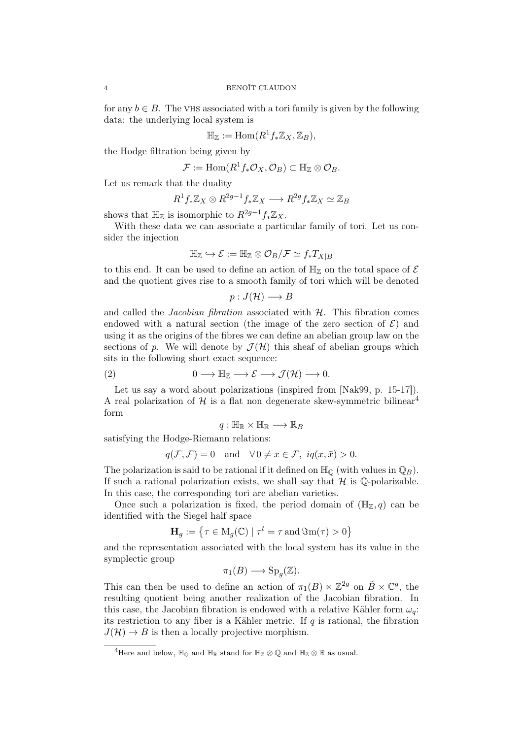for any  $b \in B$ . The vHS associated with a tori family is given by the following data: the underlying local system is

$$
\mathbb{H}_{\mathbb{Z}} := \text{Hom}(R^1 f_* \mathbb{Z}_X, \mathbb{Z}_B),
$$

the Hodge filtration being given by

$$
\mathcal{F}:=\text{Hom}(R^1f_*\mathcal{O}_X,\mathcal{O}_B)\subset \mathbb{H}_{\mathbb{Z}}\otimes \mathcal{O}_B.
$$

Let us remark that the duality

$$
R^1f_*\mathbb{Z}_X\otimes R^{2g-1}f_*\mathbb{Z}_X\longrightarrow R^{2g}f_*\mathbb{Z}_X\simeq \mathbb{Z}_B
$$

shows that  $\mathbb{H}_{\mathbb{Z}}$  is isomorphic to  $R^{2g-1}f_*\mathbb{Z}_X$ .

With these data we can associate a particular family of tori. Let us consider the injection

$$
\mathbb{H}_{\mathbb{Z}} \hookrightarrow \mathcal{E} := \mathbb{H}_{\mathbb{Z}} \otimes \mathcal{O}_{B}/\mathcal{F} \simeq f_{*}T_{X|B}
$$

to this end. It can be used to define an action of  $\mathbb{H}_{\mathbb{Z}}$  on the total space of  $\mathcal E$ and the quotient gives rise to a smooth family of tori which will be denoted

$$
p:J(\mathcal{H})\longrightarrow B
$$

and called the *Jacobian fibration* associated with *H*. This fibration comes endowed with a natural section (the image of the zero section of  $\mathcal{E}$ ) and using it as the origins of the fibres we can define an abelian group law on the sections of p. We will denote by  $\mathcal{J}(\mathcal{H})$  this sheaf of abelian groups which sits in the following short exact sequence:

(2) 
$$
0 \longrightarrow \mathbb{H}_{\mathbb{Z}} \longrightarrow \mathcal{E} \longrightarrow \mathcal{J}(\mathcal{H}) \longrightarrow 0.
$$

Let us say a word about polarizations (inspired from [Nak99, p. 15-17]). A real polarization of  $\mathcal H$  is a flat non degenerate skew-symmetric bilinear<sup>4</sup> form

$$
q:\mathbb{H}_{\mathbb{R}}\times\mathbb{H}_{\mathbb{R}}\longrightarrow\mathbb{R}_{B}
$$

satisfying the Hodge-Riemann relations:

$$
q(\mathcal{F}, \mathcal{F}) = 0
$$
 and  $\forall 0 \neq x \in \mathcal{F}$ ,  $iq(x, \bar{x}) > 0$ .

The polarization is said to be rational if it defined on  $\mathbb{H}_{\mathbb{Q}}$  (with values in  $\mathbb{Q}_B$ ). If such a rational polarization exists, we shall say that  $\mathcal H$  is Q-polarizable. In this case, the corresponding tori are abelian varieties.

Once such a polarization is fixed, the period domain of  $(\mathbb{H}_{\mathbb{Z}}, q)$  can be identified with the Siegel half space

$$
\mathbf{H}_g := \left\{ \tau \in M_g(\mathbb{C}) \mid \tau^t = \tau \text{ and } \Im \mathbf{m}(\tau) > 0 \right\}
$$

and the representation associated with the local system has its value in the symplectic group

$$
\pi_1(B) \longrightarrow \mathrm{Sp}_g(\mathbb{Z}).
$$

This can then be used to define an action of  $\pi_1(B) \ltimes \mathbb{Z}^{2g}$  on  $\tilde{B} \times \mathbb{C}^g$ , the resulting quotient being another realization of the Jacobian fibration. In this case, the Jacobian fibration is endowed with a relative Kähler form  $\omega_q$ : its restriction to any fiber is a Kähler metric. If *q* is rational, the fibration  $J(\mathcal{H}) \to B$  is then a locally projective morphism.

 ${}^4\textrm{Here}$  and below,  $\mathbb{H}_{\mathbb{O}}$  and  $\mathbb{H}_{\mathbb{R}}$  stand for  $\mathbb{H}_{\mathbb{Z}} \otimes \mathbb{Q}$  and  $\mathbb{H}_{\mathbb{Z}} \otimes \mathbb{R}$  as usual.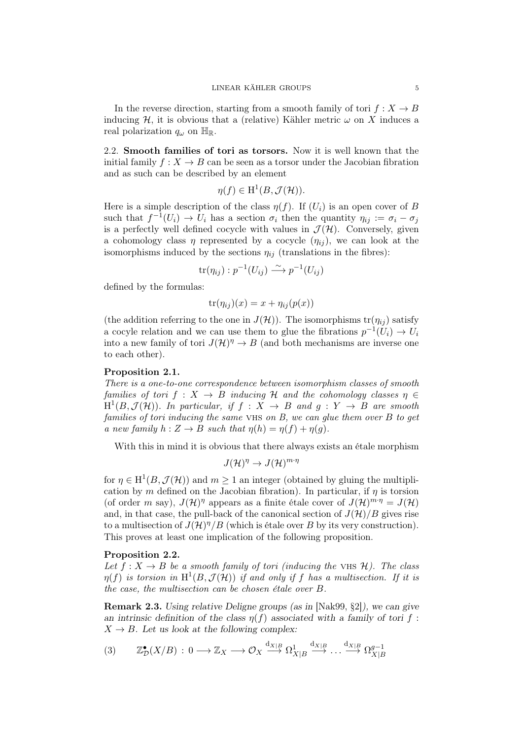In the reverse direction, starting from a smooth family of tori  $f : X \to B$ inducing  $H$ , it is obvious that a (relative) Kähler metric  $\omega$  on X induces a real polarization  $q_\omega$  on  $\mathbb{H}_\mathbb{R}$ .

2.2. Smooth families of tori as torsors. Now it is well known that the initial family  $f: X \to B$  can be seen as a torsor under the Jacobian fibration and as such can be described by an element

$$
\eta(f) \in \mathrm{H}^1(B, \mathcal{J}(\mathcal{H})).
$$

Here is a simple description of the class  $\eta(f)$ . If  $(U_i)$  is an open cover of *B* such that  $f^{-1}(U_i) \to U_i$  has a section  $\sigma_i$  then the quantity  $\eta_{ij} := \sigma_i - \sigma_j$ is a perfectly well defined cocycle with values in  $\mathcal{J}(\mathcal{H})$ . Conversely, given a cohomology class  $\eta$  represented by a cocycle  $(\eta_{ij})$ , we can look at the isomorphisms induced by the sections  $\eta_{ij}$  (translations in the fibres):

$$
\text{tr}(\eta_{ij}): p^{-1}(U_{ij}) \xrightarrow{\sim} p^{-1}(U_{ij})
$$

defined by the formulas:

$$
\operatorname{tr}(\eta_{ij})(x) = x + \eta_{ij}(p(x))
$$

(the addition referring to the one in  $J(\mathcal{H})$ ). The isomorphisms  $\text{tr}(\eta_{ij})$  satisfy a cocyle relation and we can use them to glue the fibrations  $p^{-1}(U_i) \to U_i$ into a new family of tori  $J(\mathcal{H})^{\eta} \to B$  (and both mechanisms are inverse one to each other).

## Proposition 2.1.

*There is a one-to-one correspondence between isomorphism classes of smooth families of tori*  $f : X \to B$  *inducing*  $H$  *and the cohomology classes*  $\eta \in$  $H^1(B, \mathcal{J}(\mathcal{H}))$ *. In particular, if*  $f : X \to B$  *and*  $g : Y \to B$  *are smooth families of tori inducing the same* vhs *on B, we can glue them over B to get a new family*  $h: Z \to B$  *such that*  $n(h) = n(f) + n(q)$ .

With this in mind it is obvious that there always exists an étale morphism

$$
J(\mathcal{H})^{\eta} \to J(\mathcal{H})^{m \cdot \eta}
$$

for  $\eta \in H^1(B, \mathcal{J}(\mathcal{H}))$  and  $m \geq 1$  an integer (obtained by gluing the multiplication by *m* defined on the Jacobian fibration). In particular, if  $\eta$  is torsion (of order *m* say),  $J(\mathcal{H})^{\eta}$  appears as a finite étale cover of  $J(\mathcal{H})^{m \cdot \eta} = J(\mathcal{H})$ and, in that case, the pull-back of the canonical section of  $J(\mathcal{H})/B$  gives rise to a multisection of  $J(\mathcal{H})^{\eta}/B$  (which is étale over *B* by its very construction). This proves at least one implication of the following proposition.

#### Proposition 2.2.

*Let*  $f: X \to B$  *be a smooth family of tori (inducing the VHS H). The class*  $\eta(f)$  *is torsion in*  $H^1(B, \mathcal{J}(\mathcal{H}))$  *if and only if f has a multisection. If it is the case, the multisection can be chosen étale over B.*

Remark 2.3. *Using relative Deligne groups (as in* [Nak99, §2]*), we can give an intrinsic definition of the class*  $\eta(f)$  associated with a family of tori f:  $X \rightarrow B$ *. Let us look at the following complex:* 

$$
(3) \qquad \mathbb{Z}_{\mathcal{D}}^{\bullet}(X/B) : 0 \longrightarrow \mathbb{Z}_{X} \longrightarrow \mathcal{O}_{X} \stackrel{\mathrm{d}_{X|B}}{\longrightarrow} \Omega_{X|B}^{1} \stackrel{\mathrm{d}_{X|B}}{\longrightarrow} \dots \stackrel{\mathrm{d}_{X|B}}{\longrightarrow} \Omega_{X|B}^{g-1}
$$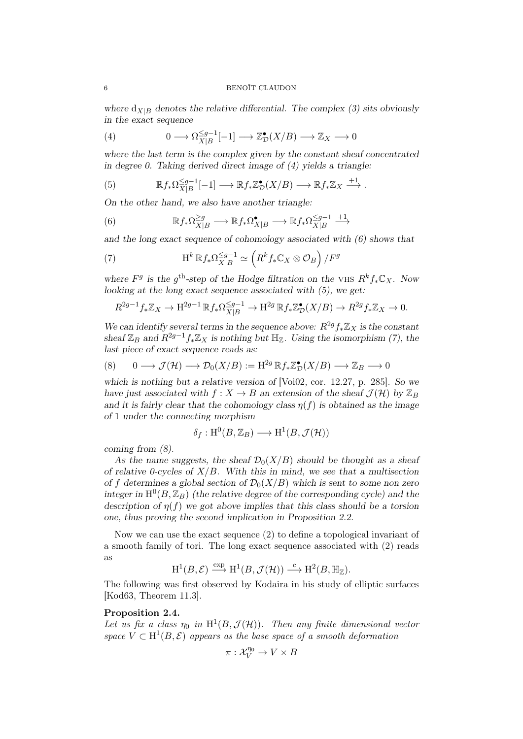*where*  $d_{X|B}$  *denotes the relative differential. The complex (3) sits obviously in the exact sequence*

(4) 
$$
0 \longrightarrow \Omega_{X|B}^{\leq g-1}[-1] \longrightarrow \mathbb{Z}_{\mathcal{D}}^{\bullet}(X/B) \longrightarrow \mathbb{Z}_X \longrightarrow 0
$$

*where the last term is the complex given by the constant sheaf concentrated in degree 0. Taking derived direct image of (4) yields a triangle:*

(5) 
$$
\mathbb{R}f_*\Omega_{X|B}^{\leq g-1}[-1] \longrightarrow \mathbb{R}f_*\mathbb{Z}_D^{\bullet}(X/B) \longrightarrow \mathbb{R}f_*\mathbb{Z}_X \stackrel{+1}{\longrightarrow}.
$$

*On the other hand, we also have another triangle:*

(6) 
$$
\mathbb{R}f_*\Omega_{X|B}^{\geq g} \longrightarrow \mathbb{R}f_*\Omega_{X|B}^{\bullet} \longrightarrow \mathbb{R}f_*\Omega_{X|B}^{\leq g-1} \longrightarrow
$$

*and the long exact sequence of cohomology associated with (6) shows that*

(7) 
$$
\mathrm{H}^{k} \mathbb{R} f_* \Omega_{X|B}^{\leq g-1} \simeq \left( R^k f_* \mathbb{C}_X \otimes \mathcal{O}_B \right) / F^g
$$

*where*  $F^g$  is the  $g^{\text{th}}$ -step of the Hodge filtration on the VHS  $R^k f_* \mathbb{C}_X$ *.* Now *looking at the long exact sequence associated with (5), we get:*

$$
R^{2g-1}f_*\mathbb{Z}_X \to \mathrm{H}^{2g-1}\mathbb{R}f_*\Omega^{\leq g-1}_{X|B} \to \mathrm{H}^{2g}\mathbb{R}f_*\mathbb{Z}_\mathcal{D}^\bullet(X/B) \to R^{2g}f_*\mathbb{Z}_X \to 0.
$$

*We can identify several terms in the sequence above:*  $R^{2g} f_* \mathbb{Z}_X$  *is the constant sheaf*  $\mathbb{Z}_B$  *and*  $R^{2g-1}f_*\mathbb{Z}_X$  *is nothing but*  $\mathbb{H}_{\mathbb{Z}}$ *. Using the isomorphism (7), the last piece of exact sequence reads as:*

(8) 
$$
0 \longrightarrow \mathcal{J}(\mathcal{H}) \longrightarrow \mathcal{D}_0(X/B) := \mathrm{H}^{2g} \mathbb{R} f_* \mathbb{Z}_D^{\bullet}(X/B) \longrightarrow \mathbb{Z}_B \longrightarrow 0
$$

*which is nothing but a relative version of* [Voi02, cor. 12.27, p. 285]*. So we have just associated with*  $f: X \to B$  *an extension of the sheaf*  $\mathcal{J}(\mathcal{H})$  *by*  $\mathbb{Z}_B$ *and it is fairly clear that the cohomology class*  $\eta(f)$  *is obtained as the image of* 1 *under the connecting morphism*

$$
\delta_f: \mathrm{H}^0(B,\mathbb{Z}_B) \longrightarrow \mathrm{H}^1(B,\mathcal{J}(\mathcal{H}))
$$

*coming from (8).*

As the name suggests, the sheaf  $\mathcal{D}_0(X/B)$  should be thought as a sheaf *of relative 0-cycles of X/B. With this in mind, we see that a multisection of f* determines a global section of  $\mathcal{D}_0(X/B)$  which is sent to some non zero integer in  $H^0(B,\mathbb{Z}_B)$  (the relative degree of the corresponding cycle) and the *description of η*(*f*) *we got above implies that this class should be a torsion one, thus proving the second implication in Proposition 2.2.*

Now we can use the exact sequence (2) to define a topological invariant of a smooth family of tori. The long exact sequence associated with (2) reads as

$$
\mathrm{H}^{1}(B, \mathcal{E}) \stackrel{\exp}{\longrightarrow} \mathrm{H}^{1}(B, \mathcal{J}(\mathcal{H})) \stackrel{c}{\longrightarrow} \mathrm{H}^{2}(B, \mathbb{H}_{\mathbb{Z}}).
$$

The following was first observed by Kodaira in his study of elliptic surfaces [Kod63, Theorem 11.3].

## Proposition 2.4.

Let us fix a class  $\eta_0$  in  $H^1(B, \mathcal{J}(\mathcal{H}))$ . Then any finite dimensional vector space  $V \subset H^1(B, \mathcal{E})$  appears as the base space of a smooth deformation

$$
\pi: \mathcal{X}_V^{\eta_0} \to V \times B
$$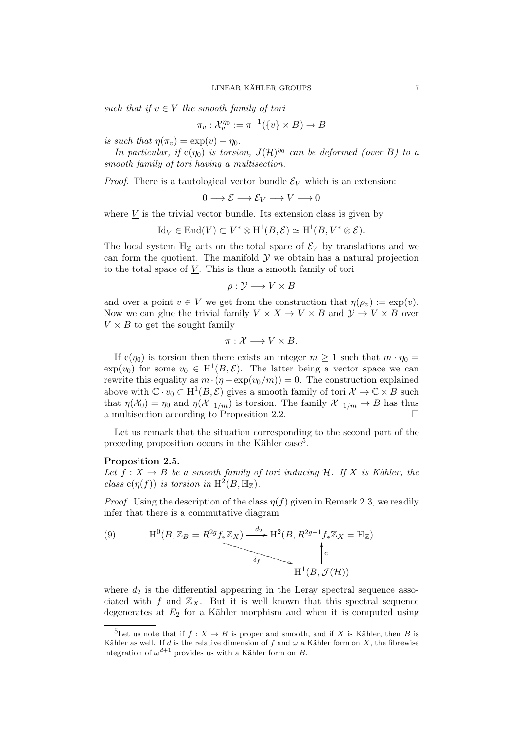*such that if*  $v \in V$  *the smooth family of tori* 

$$
\pi_v: \mathcal{X}_v^{\eta_0} := \pi^{-1}(\{v\} \times B) \to B
$$

*is such that*  $\eta(\pi_v) = \exp(v) + \eta_0$ .

*In particular, if*  $c(\eta_0)$  *is torsion,*  $J(\mathcal{H})^{\eta_0}$  *can be deformed (over B) to a smooth family of tori having a multisection.*

*Proof.* There is a tautological vector bundle  $\mathcal{E}_V$  which is an extension:

$$
0 \longrightarrow \mathcal{E} \longrightarrow \mathcal{E}_V \longrightarrow \underline{V} \longrightarrow 0
$$

where  $V$  is the trivial vector bundle. Its extension class is given by

$$
\mathrm{Id}_V \in \mathrm{End}(V) \subset V^* \otimes \mathrm{H}^1(B,\mathcal{E}) \simeq \mathrm{H}^1(B,\underline{V}^* \otimes \mathcal{E}).
$$

The local system  $\mathbb{H}_{\mathbb{Z}}$  acts on the total space of  $\mathcal{E}_V$  by translations and we can form the quotient. The manifold  $\mathcal Y$  we obtain has a natural projection to the total space of *V* . This is thus a smooth family of tori

$$
\rho: \mathcal{Y} \longrightarrow V \times B
$$

and over a point  $v \in V$  we get from the construction that  $\eta(\rho_v) := \exp(v)$ . Now we can glue the trivial family  $V \times X \to V \times B$  and  $\mathcal{Y} \to V \times B$  over  $V \times B$  to get the sought family

$$
\pi: \mathcal{X} \longrightarrow V \times B.
$$

If  $c(\eta_0)$  is torsion then there exists an integer  $m \geq 1$  such that  $m \cdot \eta_0 =$  $\exp(v_0)$  for some  $v_0 \in H^1(B, \mathcal{E})$ . The latter being a vector space we can rewrite this equality as  $m \cdot (\eta - \exp(v_0/m)) = 0$ . The construction explained above with  $\mathbb{C} \cdot v_0 \subset \mathrm{H}^1(B, \mathcal{E})$  gives a smooth family of tori  $\mathcal{X} \to \mathbb{C} \times B$  such that  $\eta(\mathcal{X}_0) = \eta_0$  and  $\eta(\mathcal{X}_{-1/m})$  is torsion. The family  $\mathcal{X}_{-1/m} \to B$  has thus a multisection according to Proposition 2.2. a multisection according to Proposition  $2.2$ .

Let us remark that the situation corresponding to the second part of the preceding proposition occurs in the Kähler case<sup>5</sup>.

#### Proposition 2.5.

*Let*  $f: X \to B$  *be a smooth family of tori inducing*  $H$ *. If*  $X$  *is Kähler, the class*  $c(\eta(f))$  *is torsion in*  $H^2(B, \mathbb{H}_\mathbb{Z})$ *.* 

*Proof.* Using the description of the class  $\eta(f)$  given in Remark 2.3, we readily infer that there is a commutative diagram

(9) 
$$
H^{0}(B, \mathbb{Z}_{B} = R^{2g} f_{*} \mathbb{Z}_{X}) \xrightarrow{d_{2}} H^{2}(B, R^{2g-1} f_{*} \mathbb{Z}_{X} = \mathbb{H}_{\mathbb{Z}})
$$
\n
$$
\uparrow_{\mathcal{F}} \qquad \qquad \uparrow_{\mathcal{F}} \qquad \qquad \downarrow_{\mathcal{F}} \qquad \qquad \downarrow_{\mathcal{F}} \qquad \qquad \downarrow_{\mathcal{F}} \qquad \qquad \downarrow_{\mathcal{F}} \qquad \qquad \downarrow_{\mathcal{F}} \qquad \qquad \downarrow_{\mathcal{F}} \qquad \qquad \downarrow_{\mathcal{F}} \qquad \qquad \downarrow_{\mathcal{F}} \qquad \qquad \downarrow_{\mathcal{F}} \qquad \qquad \downarrow_{\mathcal{F}} \qquad \qquad \downarrow_{\mathcal{F}} \qquad \qquad \downarrow_{\mathcal{F}} \qquad \qquad \downarrow_{\mathcal{F}} \qquad \qquad \downarrow_{\mathcal{F}} \qquad \qquad \downarrow_{\mathcal{F}} \qquad \qquad \downarrow_{\mathcal{F}} \qquad \qquad \downarrow_{\mathcal{F}} \qquad \qquad \downarrow_{\mathcal{F}} \qquad \qquad \downarrow_{\mathcal{F}} \qquad \qquad \downarrow_{\mathcal{F}} \qquad \qquad \downarrow_{\mathcal{F}} \qquad \qquad \downarrow_{\mathcal{F}} \qquad \qquad \downarrow_{\mathcal{F}} \qquad \qquad \downarrow_{\mathcal{F}} \qquad \qquad \downarrow_{\mathcal{F}} \qquad \qquad \downarrow_{\mathcal{F}} \qquad \qquad \downarrow_{\mathcal{F}} \qquad \qquad \downarrow_{\mathcal{F}} \qquad \qquad \downarrow_{\mathcal{F}} \qquad \qquad \downarrow_{\mathcal{F}} \qquad \qquad \downarrow_{\mathcal{F}} \qquad \qquad \downarrow_{\mathcal{F}} \qquad \qquad \downarrow_{\mathcal{F}} \qquad \qquad \downarrow_{\mathcal{F}} \qquad \qquad \downarrow_{\mathcal{F}} \qquad \qquad \downarrow_{\mathcal{F}} \qquad \qquad \downarrow_{\mathcal{F}} \qquad \qquad \downarrow_{\mathcal{F}} \qquad \qquad \downarrow_{\mathcal{F}} \qquad \qquad \downarrow_{\mathcal{F}} \qquad
$$

where  $d_2$  is the differential appearing in the Leray spectral sequence associated with  $f$  and  $\mathbb{Z}_X$ . But it is well known that this spectral sequence degenerates at *E*<sup>2</sup> for a Kähler morphism and when it is computed using

<sup>&</sup>lt;sup>5</sup>Let us note that if  $f: X \to B$  is proper and smooth, and if X is Kähler, then B is Kähler as well. If *d* is the relative dimension of *f* and  $\omega$  a Kähler form on *X*, the fibrewise integration of  $\omega^{d+1}$  provides us with a Kähler form on *B*.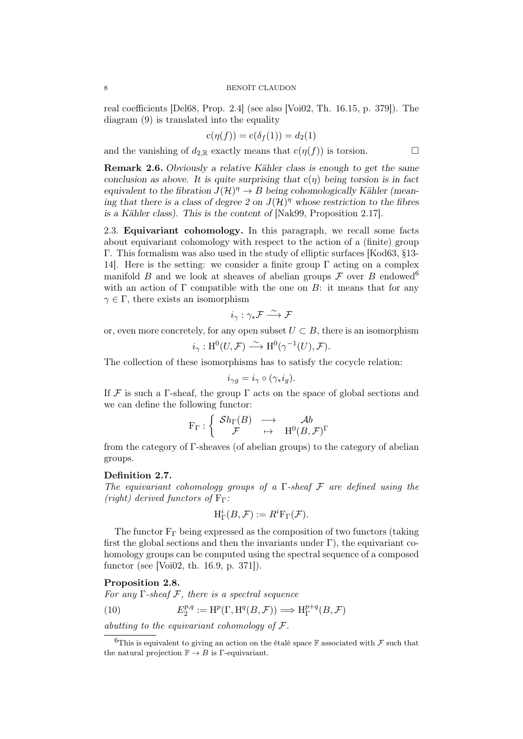#### 8 BENOÎT CLAUDON

real coefficients [Del68, Prop. 2.4] (see also [Voi02, Th. 16.15, p. 379]). The diagram (9) is translated into the equality

$$
c(\eta(f)) = c(\delta_f(1)) = d_2(1)
$$

and the vanishing of  $d_{2,\mathbb{R}}$  exactly means that  $c(\eta(f))$  is torsion.  $\Box$ 

Remark 2.6. *Obviously a relative Kähler class is enough to get the same conclusion as above. It is quite surprising that* c(*η*) *being torsion is in fact equivalent to the fibration*  $J(\mathcal{H})^{\eta} \to B$  *being cohomologically Kähler (meaning that there is a class of degree 2 on*  $J(\mathcal{H})^{\eta}$  whose restriction to the fibres *is a Kähler class). This is the content of* [Nak99, Proposition 2.17]*.*

2.3. Equivariant cohomology. In this paragraph, we recall some facts about equivariant cohomology with respect to the action of a (finite) group Γ. This formalism was also used in the study of elliptic surfaces [Kod63, §13- 14. Here is the setting: we consider a finite group  $\Gamma$  acting on a complex manifold *B* and we look at sheaves of abelian groups  $\mathcal F$  over *B* endowed<sup>6</sup> with an action of  $\Gamma$  compatible with the one on  $B$ : it means that for any  $\gamma \in \Gamma$ , there exists an isomorphism

$$
i_\gamma:\gamma_*\mathcal{F}\overset{\sim}{\longrightarrow}\mathcal{F}
$$

or, even more concretely, for any open subset  $U \subset B$ , there is an isomorphism

$$
i_{\gamma}: \mathrm{H}^{0}(U, \mathcal{F}) \xrightarrow{\sim} \mathrm{H}^{0}(\gamma^{-1}(U), \mathcal{F}).
$$

The collection of these isomorphisms has to satisfy the cocycle relation:

$$
i_{\gamma g} = i_{\gamma} \circ (\gamma_* i_g).
$$

If  $\mathcal F$  is such a Γ-sheaf, the group  $\Gamma$  acts on the space of global sections and we can define the following functor:

$$
\mathrm{F}_\Gamma : \left\{ \begin{array}{ccc} \mathcal{S} h_\Gamma(B) & \longrightarrow & \mathcal{A} b \\ \mathcal{F} & \mapsto & \mathrm{H}^0(B,\mathcal{F})^\Gamma \end{array} \right.
$$

from the category of Γ-sheaves (of abelian groups) to the category of abelian groups.

## Definition 2.7.

*The equivariant cohomology groups of a* Γ*-sheaf F are defined using the (right)* derived functors of  $F_\Gamma$ *:* 

$$
H^i_{\Gamma}(B,\mathcal{F}) := R^i F_{\Gamma}(\mathcal{F}).
$$

The functor  $F_{\Gamma}$  being expressed as the composition of two functors (taking first the global sections and then the invariants under  $\Gamma$ ), the equivariant cohomology groups can be computed using the spectral sequence of a composed functor (see [Voi02, th. 16.9, p. 371]).

## Proposition 2.8.

*For any* Γ*-sheaf F, there is a spectral sequence*

(10) 
$$
E_2^{p,q} := \mathrm{H}^p(\Gamma, \mathrm{H}^q(B, \mathcal{F})) \Longrightarrow \mathrm{H}^{p+q}_{\Gamma}(B, \mathcal{F})
$$

*abutting to the equivariant cohomology of F.*

<sup>&</sup>lt;sup>6</sup>This is equivalent to giving an action on the étalé space F associated with  $\mathcal F$  such that the natural projection  $\mathbb{F} \to B$  is  $\Gamma$ -equivariant.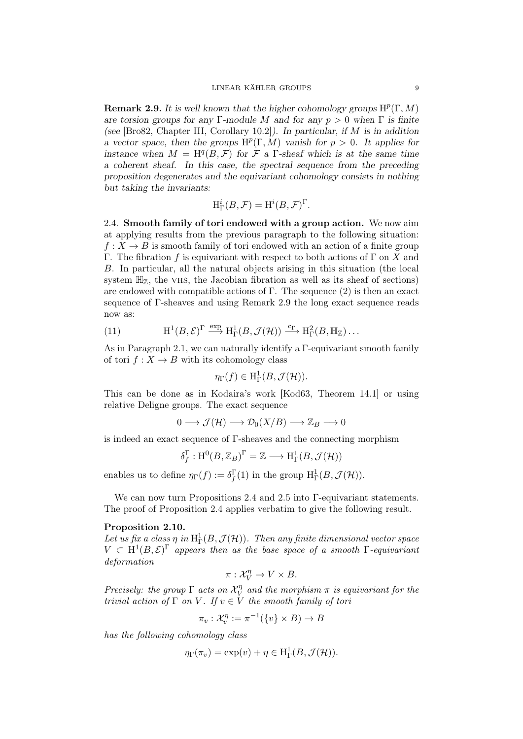**Remark 2.9.** It is well known that the higher cohomology groups  $\mathrm{H}^p(\Gamma,M)$ *are torsion groups for any* Γ*-module M and for any p >* 0 *when* Γ *is finite (see* [Bro82, Chapter III, Corollary 10.2]*). In particular, if M is in addition a* vector space, then the groups  $H^p(\Gamma, M)$  vanish for  $p > 0$ . It applies for *instance when*  $M = H^q(B, \mathcal{F})$  *for*  $\mathcal{F}$  *a* Γ*-sheaf which is at the same time a coherent sheaf. In this case, the spectral sequence from the preceding proposition degenerates and the equivariant cohomology consists in nothing but taking the invariants:*

$$
H^i_{\Gamma}(B, \mathcal{F}) = H^i(B, \mathcal{F})^{\Gamma}.
$$

2.4. Smooth family of tori endowed with a group action. We now aim at applying results from the previous paragraph to the following situation:  $f: X \to B$  is smooth family of tori endowed with an action of a finite group Γ. The fibration *f* is equivariant with respect to both actions of Γ on *X* and *B*. In particular, all the natural objects arising in this situation (the local system  $\mathbb{H}_{\mathbb{Z}}$ , the vHS, the Jacobian fibration as well as its sheaf of sections) are endowed with compatible actions of  $\Gamma$ . The sequence (2) is then an exact sequence of Γ-sheaves and using Remark 2.9 the long exact sequence reads now as:

(11) 
$$
\mathrm{H}^{1}(B, \mathcal{E})^{\Gamma} \xrightarrow{\exp} \mathrm{H}_{\Gamma}^{1}(B, \mathcal{J}(\mathcal{H})) \xrightarrow{c_{\Gamma}} \mathrm{H}_{\Gamma}^{2}(B, \mathbb{H}_{\mathbb{Z}}) \dots
$$

As in Paragraph 2.1, we can naturally identify a Γ-equivariant smooth family of tori  $f: X \to B$  with its cohomology class

$$
\eta_{\Gamma}(f) \in \mathrm{H}^1_{\Gamma}(B,\mathcal{J}(\mathcal{H})).
$$

This can be done as in Kodaira's work [Kod63, Theorem 14.1] or using relative Deligne groups. The exact sequence

$$
0 \longrightarrow \mathcal{J}(\mathcal{H}) \longrightarrow \mathcal{D}_0(X/B) \longrightarrow \mathbb{Z}_B \longrightarrow 0
$$

is indeed an exact sequence of Γ-sheaves and the connecting morphism

$$
\delta_f^{\Gamma}: \mathrm{H}^0(B,\mathbb{Z}_B)^{\Gamma}=\mathbb{Z}\longrightarrow \mathrm{H}^1_\Gamma(B,\mathcal{J}(\mathcal{H}))
$$

enables us to define  $\eta_{\Gamma}(f) := \delta_f^{\Gamma}(1)$  in the group  $H^1_{\Gamma}(B, \mathcal{J}(\mathcal{H}))$ .

We can now turn Propositions 2.4 and 2.5 into Γ-equivariant statements. The proof of Proposition 2.4 applies verbatim to give the following result.

#### Proposition 2.10.

Let us fix a class  $\eta$  in  $H^1_\Gamma(B,\mathcal{J}(\mathcal{H}))$ . Then any finite dimensional vector space  $V \text{ }\subset H^1(B,\mathcal{E})^{\Gamma}$  appears then as the base space of a smooth  $\Gamma$ -equivariant *deformation*

$$
\pi: \mathcal{X}^\eta_V \to V \times B.
$$

*Precisely: the group*  $\Gamma$  *acts on*  $\mathcal{X}_{V}^{\eta}$  $V_V^{\eta}$  and the morphism  $\pi$  is equivariant for the *trivial action of*  $\Gamma$  *on*  $V$ *. If*  $v \in V$  *the smooth family of tori* 

$$
\pi_v: \mathcal{X}_v^{\eta} := \pi^{-1}(\{v\} \times B) \to B
$$

*has the following cohomology class*

$$
\eta_{\Gamma}(\pi_v) = \exp(v) + \eta \in \mathrm{H}^1_{\Gamma}(B, \mathcal{J}(\mathcal{H})).
$$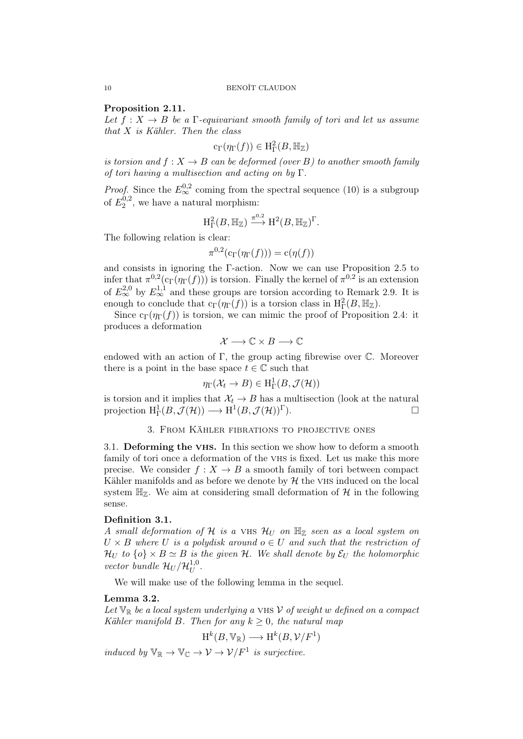## Proposition 2.11.

Let  $f: X \to B$  be a  $\Gamma$ -equivariant smooth family of tori and let us assume *that X is Kähler. Then the class*

$$
c_{\Gamma}(\eta_{\Gamma}(f)) \in H^2_{\Gamma}(B, \mathbb{H}_{\mathbb{Z}})
$$

*is torsion and*  $f: X \to B$  *can be deformed (over B)* to another smooth family *of tori having a multisection and acting on by* Γ*.*

*Proof.* Since the  $E_{\infty}^{0,2}$  coming from the spectral sequence (10) is a subgroup of  $E_2^{0,2}$  $2^{0,2}$ , we have a natural morphism:

$$
H_{\Gamma}^2(B, \mathbb{H}_{\mathbb{Z}}) \xrightarrow{\pi^{0,2}} H^2(B, \mathbb{H}_{\mathbb{Z}})^{\Gamma}.
$$

The following relation is clear:

$$
\pi^{0,2}(\mathrm{c}_\Gamma(\eta_\Gamma(f))) = \mathrm{c}(\eta(f))
$$

and consists in ignoring the Γ-action. Now we can use Proposition 2.5 to infer that  $\pi^{0,2}(c_{\Gamma}(\eta_{\Gamma}(f)))$  is torsion. Finally the kernel of  $\pi^{0,2}$  is an extension of  $E_{\infty}^{2,0}$  by  $E_{\infty}^{1,1}$  and these groups are torsion according to Remark 2.9. It is enough to conclude that  $c_{\Gamma}(\eta_{\Gamma}(f))$  is a torsion class in  $H^2_{\Gamma}(B, \mathbb{H}_{\mathbb{Z}})$ .

Since  $c_{\Gamma}(\eta_{\Gamma}(f))$  is torsion, we can mimic the proof of Proposition 2.4: it produces a deformation

$$
\mathcal{X} \longrightarrow \mathbb{C} \times B \longrightarrow \mathbb{C}
$$

endowed with an action of  $\Gamma$ , the group acting fibrewise over  $\mathbb C$ . Moreover there is a point in the base space  $t \in \mathbb{C}$  such that

$$
\eta_{\Gamma}(\mathcal{X}_t \to B) \in \mathrm{H}^1_{\Gamma}(B, \mathcal{J}(\mathcal{H}))
$$

is torsion and it implies that  $\mathcal{X}_t \to B$  has a multisection (look at the natural projection  $H^1_\Gamma(B, \mathcal{J}(\mathcal{H})) \longrightarrow H^1(B, \mathcal{J}(\mathcal{H}))^\Gamma$ .

## 3. From Kähler fibrations to projective ones

3.1. **Deforming the VHS.** In this section we show how to deform a smooth family of tori once a deformation of the VHS is fixed. Let us make this more precise. We consider  $f: X \to B$  a smooth family of tori between compact Kähler manifolds and as before we denote by  $H$  the VHS induced on the local system  $\mathbb{H}_{\mathbb{Z}}$ . We aim at considering small deformation of  $\mathcal{H}$  in the following sense.

## Definition 3.1.

*A small deformation of H is a* vhs *H<sup>U</sup> on* H<sup>Z</sup> *seen as a local system on*  $U \times B$  *where U is a polydisk around*  $o \in U$  *and such that the restriction of H*<sup>U</sup> *to*  $\{o\} \times B \simeq B$  *is the given H. We shall denote by*  $\mathcal{E}_U$  *the holomorphic vector bundle*  $\mathcal{H}_U/\mathcal{H}_U^{1,0}$  $U^{1,0}$ .

We will make use of the following lemma in the sequel.

## Lemma 3.2.

Let  $\mathbb{V}_{\mathbb{R}}$  be a local system underlying a VHS V of weight w defined on a compact *Kähler manifold B. Then for any*  $k \geq 0$ *, the natural map* 

$$
H^k(B, \mathbb{V}_{\mathbb{R}}) \longrightarrow H^k(B, \mathcal{V}/F^1)
$$

*induced by*  $\mathbb{V}_{\mathbb{R}} \to \mathbb{V}_{\mathbb{C}} \to \mathcal{V} \to \mathcal{V}/F^1$  *is surjective.*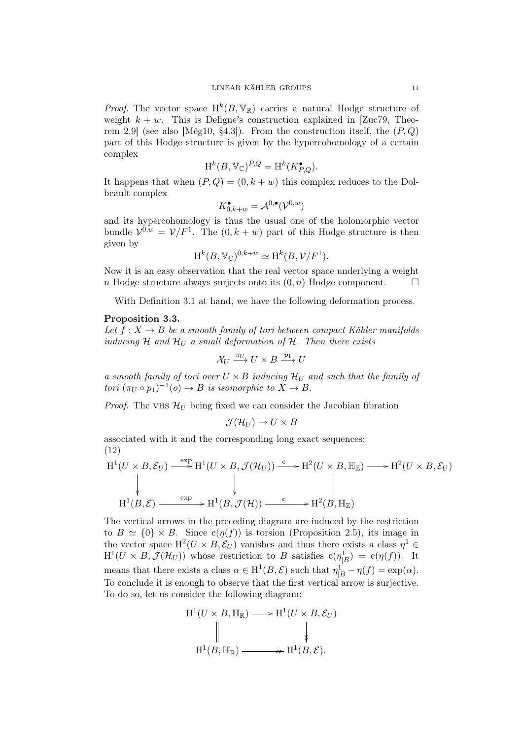*Proof.* The vector space  $H^k(B, V_{\mathbb{R}})$  carries a natural Hodge structure of weight  $k + w$ . This is Deligne's construction explained in [Zuc79, Theorem 2.9] (see also [Még10, §4.3]). From the construction itself, the (*P, Q*) part of this Hodge structure is given by the hypercohomology of a certain complex

$$
H^k(B, \mathbb{V}_{\mathbb{C}})^{P,Q} = \mathbb{H}^k(K_{P,Q}^{\bullet}).
$$

It happens that when  $(P,Q) = (0, k+w)$  this complex reduces to the Dolbeault complex

$$
K_{0,k+w}^\bullet=\mathcal{A}^{0,\bullet}(\mathcal{V}^{0,w})
$$

and its hypercohomology is thus the usual one of the holomorphic vector bundle  $\mathcal{V}^{0,w} = \mathcal{V}/F^1$ . The  $(0,k+w)$  part of this Hodge structure is then given by

$$
H^k(B, \mathbb{V}_{\mathbb{C}})^{0,k+w} \simeq H^k(B, \mathcal{V}/F^1).
$$

Now it is an easy observation that the real vector space underlying a weight *n* Hodge structure always surjects onto its  $(0, n)$  Hodge component.  $\Box$ 

With Definition 3.1 at hand, we have the following deformation process.

#### Proposition 3.3.

Let  $f: X \to B$  be a smooth family of tori between compact Kähler manifolds *inducing*  $H$  *and*  $H_U$  *a small deformation of*  $H$ *. Then there exists* 

$$
\mathcal{X}_U \xrightarrow{\pi_U} U \times B \xrightarrow{p_1} U
$$

*a smooth family of tori over*  $U \times B$  *inducing*  $\mathcal{H}_U$  *and such that the family of tori*  $(\pi_U \circ p_1)^{-1}(o) \to B$  *is isomorphic to*  $X \to B$ *.* 

*Proof.* The VHS  $\mathcal{H}_U$  being fixed we can consider the Jacobian fibration

$$
\mathcal{J}(\mathcal{H}_U) \to U \times B
$$

associated with it and the corresponding long exact sequences: (12)

$$
H^{1}(U \times B, \mathcal{E}_{U}) \xrightarrow{\exp} H^{1}(U \times B, \mathcal{J}(\mathcal{H}_{U})) \xrightarrow{c} H^{2}(U \times B, \mathbb{H}_{\mathbb{Z}}) \longrightarrow H^{2}(U \times B, \mathcal{E}_{U})
$$
\n
$$
\downarrow \qquad \qquad \downarrow \qquad \qquad \downarrow \qquad \qquad \parallel
$$
\n
$$
H^{1}(B, \mathcal{E}) \xrightarrow{\exp} H^{1}(B, \mathcal{J}(\mathcal{H})) \xrightarrow{c} H^{2}(B, \mathbb{H}_{\mathbb{Z}})
$$

The vertical arrows in the preceding diagram are induced by the restriction to  $B \simeq \{0\} \times B$ . Since  $c(\eta(f))$  is torsion (Proposition 2.5), its image in the vector space  $H^2(U \times B, \mathcal{E}_U)$  vanishes and thus there exists a class  $\eta^1 \in$  $H^1(U \times B, \mathcal{J}(\mathcal{H}_U))$  whose restriction to *B* satisfies  $c(\eta_B^1B) = c(\eta(f))$ . It means that there exists a class  $\alpha \in H^1(B, \mathcal{E})$  such that  $\eta_{|B}^1 - \eta(f) = \exp(\alpha)$ . To conclude it is enough to observe that the first vertical arrow is surjective. To do so, let us consider the following diagram:

$$
H^{1}(U \times B, \mathbb{H}_{\mathbb{R}}) \longrightarrow H^{1}(U \times B, \mathcal{E}_{U})
$$
  

$$
\parallel \qquad \qquad \downarrow
$$
  

$$
H^{1}(B, \mathbb{H}_{\mathbb{R}}) \longrightarrow H^{1}(B, \mathcal{E}).
$$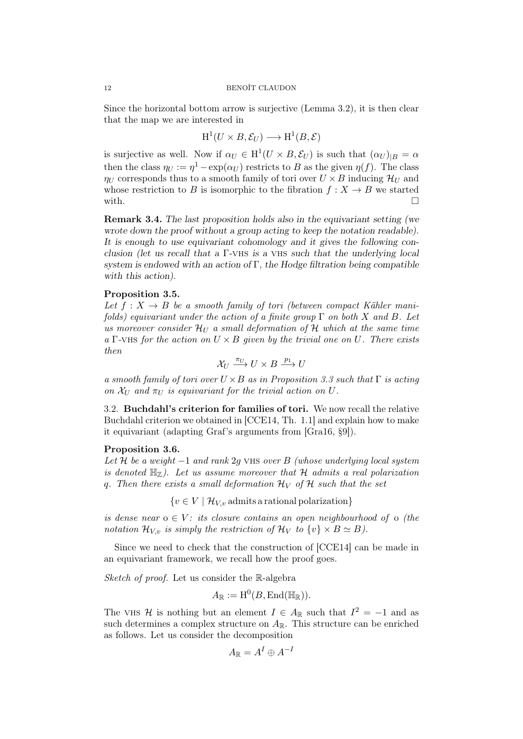Since the horizontal bottom arrow is surjective (Lemma 3.2), it is then clear that the map we are interested in

$$
H^1(U \times B, \mathcal{E}_U) \longrightarrow H^1(B, \mathcal{E})
$$

is surjective as well. Now if  $\alpha_U \in H^1(U \times B, \mathcal{E}_U)$  is such that  $(\alpha_U)_{|B} = \alpha$ then the class  $\eta_U := \eta^1 - \exp(\alpha_U)$  restricts to *B* as the given  $\eta(f)$ . The class *ηU* corresponds thus to a smooth family of tori over  $U \times B$  inducing  $\mathcal{H}_U$  and whose restriction to *B* is isomorphic to the fibration  $f: X \to B$  we started with.  $\Box$ 

Remark 3.4. *The last proposition holds also in the equivariant setting (we wrote down the proof without a group acting to keep the notation readable). It is enough to use equivariant cohomology and it gives the following conclusion (let us recall that a* Γ*-*vhs *is a* vhs *such that the underlying local system is endowed with an action of* Γ*, the Hodge filtration being compatible with this action).*

### Proposition 3.5.

Let  $f: X \to B$  be a smooth family of tori (between compact Kähler mani*folds) equivariant under the action of a finite group* Γ *on both X and B. Let us moreover consider*  $\mathcal{H}_U$  *a small deformation of*  $\mathcal{H}$  *which at the same time a* Γ*-*vhs *for the action on U × B given by the trivial one on U. There exists then*

$$
\mathcal{X}_U \xrightarrow{\pi_U} U \times B \xrightarrow{p_1} U
$$

*a smooth family of tori over U ×B as in Proposition 3.3 such that* Γ *is acting on*  $\mathcal{X}_U$  *and*  $\pi_U$  *is equivariant for the trivial action on*  $U$ *.* 

3.2. Buchdahl's criterion for families of tori. We now recall the relative Buchdahl criterion we obtained in [CCE14, Th. 1.1] and explain how to make it equivariant (adapting Graf's arguments from [Gra16, §9]).

#### Proposition 3.6.

*Let H be a weight −*1 *and rank* 2*g* vhs *over B (whose underlying local system is denoted*  $\mathbb{H}_{\mathbb{Z}}$ . Let us assume moreover that  $\mathcal{H}$  *admits a real polarization q.* Then there exists a small deformation  $\mathcal{H}_V$  *of*  $\mathcal{H}$  *such that the set* 

 ${v \in V \mid \mathcal{H}_{V,v}}$  admits a rational polarization

*is dense near*  $o \in V$ : *its closure contains an open neighbourhood of*  $o$  *(the notation*  $\mathcal{H}_{V,v}$  *is simply the restriction of*  $\mathcal{H}_V$  *to*  $\{v\} \times B \simeq B$ *).* 

Since we need to check that the construction of [CCE14] can be made in an equivariant framework, we recall how the proof goes.

*Sketch of proof.* Let us consider the R-algebra

$$
A_{\mathbb{R}} := \mathrm{H}^0(B, \mathrm{End}(\mathbb{H}_{\mathbb{R}})).
$$

The vHS *H* is nothing but an element  $I \in A_{\mathbb{R}}$  such that  $I^2 = -1$  and as such determines a complex structure on  $A_{\mathbb{R}}$ . This structure can be enriched as follows. Let us consider the decomposition

$$
A_{\mathbb{R}} = A^I \oplus A^{-1}
$$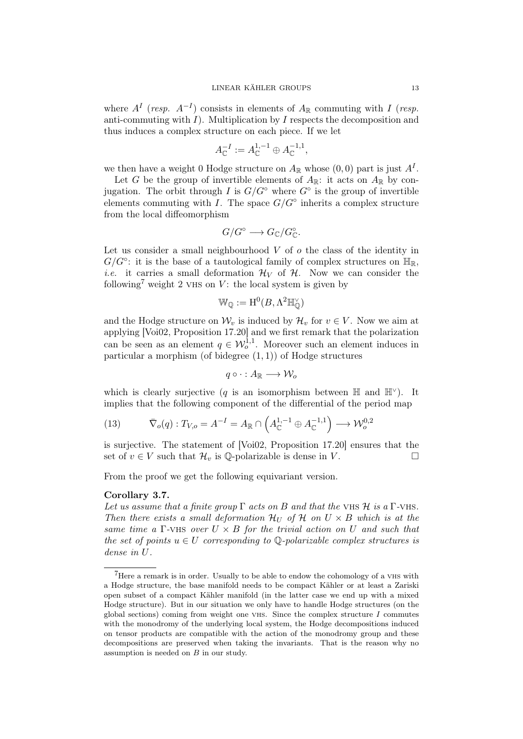where  $A^I$  (*resp.*  $A^{-I}$ ) consists in elements of  $A_{\mathbb{R}}$  commuting with *I* (*resp.* anti-commuting with *I*). Multiplication by *I* respects the decomposition and thus induces a complex structure on each piece. If we let

$$
A_{\mathbb{C}}^{-I} := A_{\mathbb{C}}^{1,-1} \oplus A_{\mathbb{C}}^{-1,1},
$$

we then have a weight 0 Hodge structure on  $A_{\mathbb{R}}$  whose  $(0,0)$  part is just  $A<sup>I</sup>$ .

Let *G* be the group of invertible elements of  $A_{\mathbb{R}}$ : it acts on  $A_{\mathbb{R}}$  by conjugation. The orbit through *I* is *G/G◦* where *G◦* is the group of invertible elements commuting with *I*. The space  $G/G^{\circ}$  inherits a complex structure from the local diffeomorphism

$$
G/G^{\circ} \longrightarrow G_{\mathbb{C}}/G_{\mathbb{C}}^{\circ}.
$$

Let us consider a small neighbourhood *V* of *o* the class of the identity in  $G/G^{\circ}$ : it is the base of a tautological family of complex structures on  $\mathbb{H}_{\mathbb{R}}$ , *i.e.* it carries a small deformation  $\mathcal{H}_V$  of  $\mathcal{H}$ . Now we can consider the following<sup>7</sup> weight 2 vHs on  $V$ : the local system is given by

$$
\mathbb{W}_{\mathbb{Q}}:=\mathrm{H}^0(B,\Lambda^2\mathbb{H}^{\vee}_{\mathbb{Q}})
$$

and the Hodge structure on  $\mathcal{W}_v$  is induced by  $\mathcal{H}_v$  for  $v \in V$ . Now we aim at applying [Voi02, Proposition 17.20] and we first remark that the polarization can be seen as an element  $q \in W_0^{1,1}$ . Moreover such an element induces in particular a morphism (of bidegree (1*,* 1)) of Hodge structures

$$
q\circ\cdot:A_{\mathbb{R}}\longrightarrow\mathcal{W}_o
$$

which is clearly surjective (*q* is an isomorphism between  $\mathbb{H}$  and  $\mathbb{H}^{\vee}$ ). It implies that the following component of the differential of the period map

(13) 
$$
\overline{\nabla}_{o}(q): T_{V,o} = A^{-I} = A_{\mathbb{R}} \cap \left( A_{\mathbb{C}}^{1,-1} \oplus A_{\mathbb{C}}^{-1,1} \right) \longrightarrow \mathcal{W}_{o}^{0,2}
$$

is surjective. The statement of [Voi02, Proposition 17.20] ensures that the set of  $v \in V$  such that  $\mathcal{H}_v$  is  $\mathbb{Q}$ -polarizable is dense in *V*. □

From the proof we get the following equivariant version.

## Corollary 3.7.

*Let us assume that a finite group*  $\Gamma$  *acts on*  $B$  *and that the* VHS  $\mathcal{H}$  *is a*  $\Gamma$ *-VHS. Then there exists a small deformation*  $\mathcal{H}_U$  *of*  $\mathcal{H}$  *on*  $U \times B$  *which is at the same time a* Γ*-*vhs *over U × B for the trivial action on U and such that the set of points*  $u \in U$  *corresponding to*  $\mathbb{Q}$ -polarizable *complex structures is dense in U.*

 $7$ Here a remark is in order. Usually to be able to endow the cohomology of a  $V$ Hs with a Hodge structure, the base manifold needs to be compact Kähler or at least a Zariski open subset of a compact Kähler manifold (in the latter case we end up with a mixed Hodge structure). But in our situation we only have to handle Hodge structures (on the global sections) coming from weight one vhs. Since the complex structure *I* commutes with the monodromy of the underlying local system, the Hodge decompositions induced on tensor products are compatible with the action of the monodromy group and these decompositions are preserved when taking the invariants. That is the reason why no assumption is needed on *B* in our study.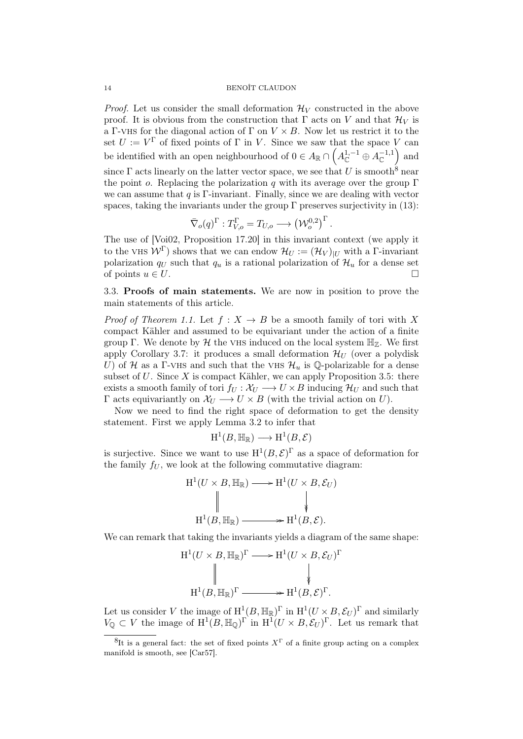*Proof.* Let us consider the small deformation  $\mathcal{H}_V$  constructed in the above proof. It is obvious from the construction that  $\Gamma$  acts on  $V$  and that  $\mathcal{H}_V$  is a Γ-vHS for the diagonal action of  $\Gamma$  on  $V \times B$ . Now let us restrict it to the set  $U := V^{\Gamma}$  of fixed points of  $\Gamma$  in *V*. Since we saw that the space *V* can be identified with an open neighbourhood of  $0 \in A_{\mathbb{R}} \cap \left( A_{\mathbb{C}}^{1,-1} \oplus A_{\mathbb{C}}^{-1,1} \right)$ ) and since  $\Gamma$  acts linearly on the latter vector space, we see that *U* is smooth<sup>8</sup> near the point *o*. Replacing the polarization *q* with its average over the group Γ we can assume that *q* is Γ-invariant. Finally, since we are dealing with vector spaces, taking the invariants under the group  $\Gamma$  preserves surjectivity in (13):

$$
\overline{\nabla}_{o}(q)^{\Gamma}: T_{V,o}^{\Gamma} = T_{U,o} \longrightarrow (\mathcal{W}_o^{0,2})^{\Gamma}.
$$

The use of [Voi02, Proposition 17.20] in this invariant context (we apply it to the VHS  $W^{\Gamma}$ ) shows that we can endow  $\mathcal{H}_U := (\mathcal{H}_V)_{|U|}$  with a  $\Gamma$ -invariant polarization  $q_U$  such that  $q_u$  is a rational polarization of  $\mathcal{H}_u$  for a dense set of points  $u \in U$ .

3.3. Proofs of main statements. We are now in position to prove the main statements of this article.

*Proof of Theorem 1.1.* Let  $f: X \rightarrow B$  be a smooth family of tori with X compact Kähler and assumed to be equivariant under the action of a finite group  $\Gamma$ . We denote by  $\mathcal H$  the vHS induced on the local system  $\mathbb H_{\mathbb Z}$ . We first apply Corollary 3.7: it produces a small deformation  $\mathcal{H}_U$  (over a polydisk *U*) of *H* as a Γ-VHS and such that the VHS  $\mathcal{H}_u$  is Q-polarizable for a dense subset of *U*. Since *X* is compact Kähler, we can apply Proposition 3.5: there exists a smooth family of tori  $f_U : \mathcal{X}_U \longrightarrow U \times B$  inducing  $\mathcal{H}_U$  and such that Γ acts equivariantly on  $X$ *U*  $\rightarrow$  *U*  $\times$  *B* (with the trivial action on *U*).

Now we need to find the right space of deformation to get the density statement. First we apply Lemma 3.2 to infer that

$$
H^1(B, \mathbb{H}_\mathbb{R}) \longrightarrow H^1(B, \mathcal{E})
$$

is surjective. Since we want to use  $H^1(B, \mathcal{E})^{\Gamma}$  as a space of deformation for the family  $f_U$ , we look at the following commutative diagram:

$$
H^{1}(U \times B, \mathbb{H}_{\mathbb{R}}) \longrightarrow H^{1}(U \times B, \mathcal{E}_{U})
$$
  

$$
\parallel \qquad \qquad \downarrow
$$
  

$$
H^{1}(B, \mathbb{H}_{\mathbb{R}}) \longrightarrow H^{1}(B, \mathcal{E}).
$$

We can remark that taking the invariants yields a diagram of the same shape:

$$
H^{1}(U \times B, \mathbb{H}_{\mathbb{R}})^{\Gamma} \longrightarrow H^{1}(U \times B, \mathcal{E}_{U})^{\Gamma}
$$
  

$$
\parallel \qquad \qquad \downarrow
$$
  

$$
H^{1}(B, \mathbb{H}_{\mathbb{R}})^{\Gamma} \longrightarrow H^{1}(B, \mathcal{E})^{\Gamma}.
$$

Let us consider *V* the image of  $H^1(B, \mathbb{H}_\mathbb{R})^{\Gamma}$  in  $H^1(U \times B, \mathcal{E}_U)^{\Gamma}$  and similarly  $V_{\mathbb{Q}} \subset V$  the image of  $H^1(B, \mathbb{H}_{\mathbb{Q}})^\Gamma$  in  $H^1(U \times B, \mathcal{E}_U)^\Gamma$ . Let us remark that

<sup>8</sup> It is a general fact: the set of fixed points *X* Γ of a finite group acting on a complex manifold is smooth, see [Car57].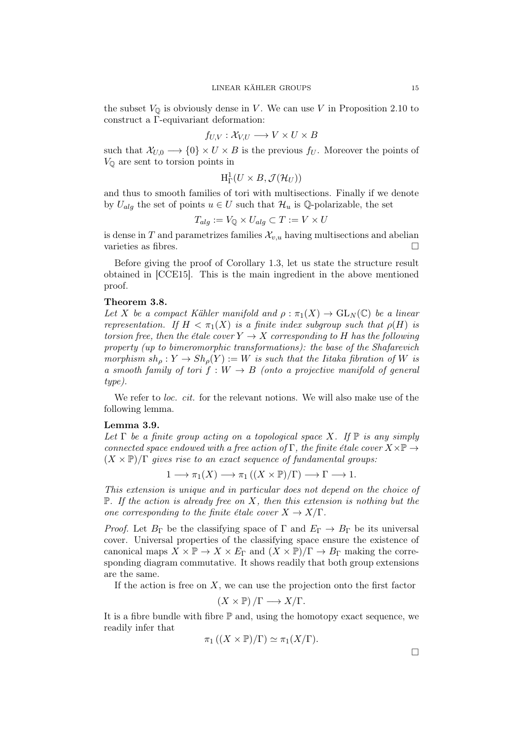the subset  $V_{\mathbb{Q}}$  is obviously dense in *V*. We can use *V* in Proposition 2.10 to construct a Γ-equivariant deformation:

$$
f_{U,V}: \mathcal{X}_{V,U} \longrightarrow V \times U \times B
$$

such that  $\mathcal{X}_{U,0} \longrightarrow \{0\} \times U \times B$  is the previous  $f_U$ . Moreover the points of  $V_{\mathbb{Q}}$  are sent to torsion points in

$$
\mathrm{H}^1_\Gamma(U\times B, \mathcal{J}(\mathcal{H}_U))
$$

and thus to smooth families of tori with multisections. Finally if we denote by  $U_{alg}$  the set of points  $u \in U$  such that  $\mathcal{H}_u$  is Q-polarizable, the set

$$
T_{alg} := V_{\mathbb{Q}} \times U_{alg} \subset T := V \times U
$$

is dense in *T* and parametrizes families  $\mathcal{X}_{n,u}$  having multisections and abelian varieties as fibres. □

Before giving the proof of Corollary 1.3, let us state the structure result obtained in [CCE15]. This is the main ingredient in the above mentioned proof.

### Theorem 3.8.

*Let X be a compact Kähler manifold and*  $\rho : \pi_1(X) \to GL_N(\mathbb{C})$  *be a linear representation.* If  $H < \pi_1(X)$  *is a finite index subgroup such that*  $\rho(H)$  *is torsion free, then the étale cover*  $Y \to X$  *corresponding to H has the following property (up to bimeromorphic transformations): the base of the Shafarevich morphism*  $sh_{\rho}: Y \to Sh_{\rho}(Y) := W$  *is such that the Iitaka fibration of W is a smooth family of tori*  $f : W \to B$  *(onto a projective manifold of general type).*

We refer to *loc. cit.* for the relevant notions. We will also make use of the following lemma.

#### Lemma 3.9.

Let  $\Gamma$  be a finite group acting on a topological space X. If  $\mathbb{P}$  is any simply *connected space endowed with a free action of* Γ*, the finite étale cover X×*P *→*  $(X \times \mathbb{P})/\Gamma$  *gives rise to an exact sequence of fundamental groups:* 

$$
1 \longrightarrow \pi_1(X) \longrightarrow \pi_1((X \times \mathbb{P})/\Gamma) \longrightarrow \Gamma \longrightarrow 1.
$$

*This extension is unique and in particular does not depend on the choice of* P*. If the action is already free on X, then this extension is nothing but the one corresponding to the finite étale cover*  $X \to X/\Gamma$ .

*Proof.* Let  $B_{\Gamma}$  be the classifying space of  $\Gamma$  and  $E_{\Gamma} \to B_{\Gamma}$  be its universal cover. Universal properties of the classifying space ensure the existence of canonical maps  $X \times \mathbb{P} \to X \times E_{\Gamma}$  and  $(X \times \mathbb{P})/\Gamma \to B_{\Gamma}$  making the corresponding diagram commutative. It shows readily that both group extensions are the same.

If the action is free on *X*, we can use the projection onto the first factor

$$
(X \times \mathbb{P})/\Gamma \longrightarrow X/\Gamma.
$$

It is a fibre bundle with fibre  $\mathbb P$  and, using the homotopy exact sequence, we readily infer that

$$
\pi_1\left( (X\times\mathbb{P})/\Gamma\right)\simeq \pi_1(X/\Gamma).
$$

□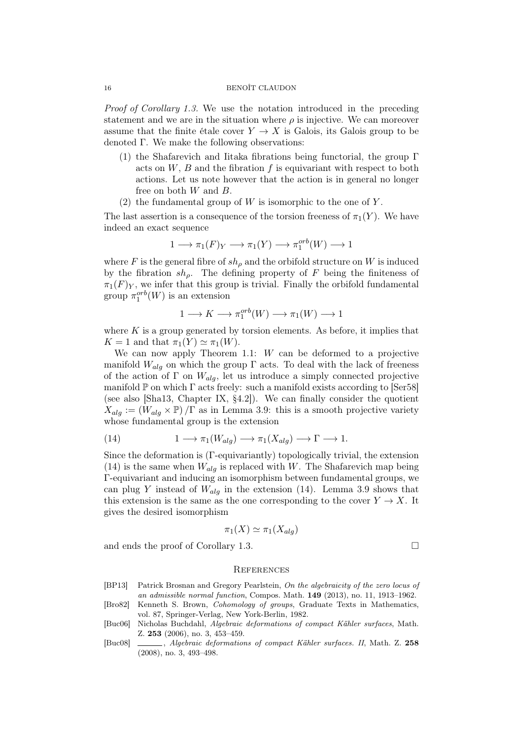#### 16 BENOÎT CLAUDON

*Proof of Corollary 1.3.* We use the notation introduced in the preceding statement and we are in the situation where  $\rho$  is injective. We can moreover assume that the finite étale cover  $Y \to X$  is Galois, its Galois group to be denoted Γ. We make the following observations:

- (1) the Shafarevich and Iitaka fibrations being functorial, the group Γ acts on  $W$ ,  $B$  and the fibration  $f$  is equivariant with respect to both actions. Let us note however that the action is in general no longer free on both *W* and *B*.
- (2) the fundamental group of *W* is isomorphic to the one of *Y* .

The last assertion is a consequence of the torsion freeness of  $\pi_1(Y)$ . We have indeed an exact sequence

$$
1 \longrightarrow \pi_1(F)_Y \longrightarrow \pi_1(Y) \longrightarrow \pi_1^{orb}(W) \longrightarrow 1
$$

where *F* is the general fibre of  $sh<sub>\rho</sub>$  and the orbifold structure on *W* is induced by the fibration *shρ*. The defining property of *F* being the finiteness of  $\pi_1(F)_Y$ , we infer that this group is trivial. Finally the orbifold fundamental group  $\pi_1^{orb}(W)$  is an extension

$$
1 \longrightarrow K \longrightarrow \pi_1^{orb}(W) \longrightarrow \pi_1(W) \longrightarrow 1
$$

where  $K$  is a group generated by torsion elements. As before, it implies that  $K = 1$  and that  $\pi_1(Y) \simeq \pi_1(W)$ .

We can now apply Theorem 1.1: *W* can be deformed to a projective manifold  $W_{ala}$  on which the group  $\Gamma$  acts. To deal with the lack of freeness of the action of  $\Gamma$  on  $W_{alg}$ , let us introduce a simply connected projective manifold  $\mathbb P$  on which  $\Gamma$  acts freely: such a manifold exists according to [Ser58] (see also [Sha13, Chapter IX, §4.2]). We can finally consider the quotient  $X_{alg} := (W_{alg} \times \mathbb{P}) / \Gamma$  as in Lemma 3.9: this is a smooth projective variety whose fundamental group is the extension

(14) 
$$
1 \longrightarrow \pi_1(W_{alg}) \longrightarrow \pi_1(X_{alg}) \longrightarrow \Gamma \longrightarrow 1.
$$

Since the deformation is (Γ-equivariantly) topologically trivial, the extension (14) is the same when  $W_{alg}$  is replaced with *W*. The Shafarevich map being Γ-equivariant and inducing an isomorphism between fundamental groups, we can plug *Y* instead of  $W_{alg}$  in the extension (14). Lemma 3.9 shows that this extension is the same as the one corresponding to the cover  $Y \to X$ . It gives the desired isomorphism

$$
\pi_1(X) \simeq \pi_1(X_{alg})
$$

and ends the proof of Corollary 1.3.  $\Box$ 

# **REFERENCES**

- [BP13] Patrick Brosnan and Gregory Pearlstein, *On the algebraicity of the zero locus of an admissible normal function*, Compos. Math. 149 (2013), no. 11, 1913–1962.
- [Bro82] Kenneth S. Brown, *Cohomology of groups*, Graduate Texts in Mathematics, vol. 87, Springer-Verlag, New York-Berlin, 1982.
- [Buc06] Nicholas Buchdahl, *Algebraic deformations of compact Kähler surfaces*, Math. Z. 253 (2006), no. 3, 453–459.
- [Buc08] , *Algebraic deformations of compact Kähler surfaces. II*, Math. Z. 258 (2008), no. 3, 493–498.